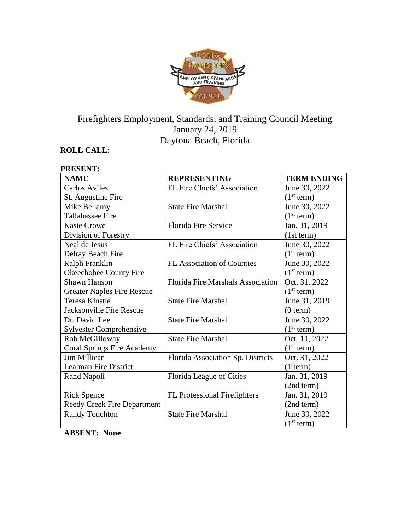

# Firefighters Employment, Standards, and Training Council Meeting January 24, 2019 Daytona Beach, Florida

# **ROLL CALL:**

**PRESENT:**

| PRESENT:                           |                                          |                        |
|------------------------------------|------------------------------------------|------------------------|
| <b>NAME</b>                        | <b>REPRESENTING</b>                      | <b>TERM ENDING</b>     |
| <b>Carlos Aviles</b>               | FL Fire Chiefs' Association              | June 30, 2022          |
| St. Augustine Fire                 |                                          | (1 <sup>st</sup> term) |
| Mike Bellamy                       | <b>State Fire Marshal</b>                | June 30, 2022          |
| <b>Tallahassee Fire</b>            |                                          | (1 <sup>st</sup> term) |
| <b>Kasie Crowe</b>                 | <b>Florida Fire Service</b>              | Jan. 31, 2019          |
| Division of Forestry               |                                          | (1st term)             |
| Neal de Jesus                      | FL Fire Chiefs' Association              | June 30, 2022          |
| Delray Beach Fire                  |                                          | (1 <sup>st</sup> term) |
| Ralph Franklin                     | FL Association of Counties               | June 30, 2022          |
| Okeechobee County Fire             |                                          | (1 <sup>st</sup> term) |
| Shawn Hanson                       | <b>Florida Fire Marshals Association</b> | Oct. 31, 2022          |
| <b>Greater Naples Fire Rescue</b>  |                                          | (1 <sup>st</sup> term) |
| <b>Teresa Kinstle</b>              | <b>State Fire Marshal</b>                | June 31, 2019          |
| Jacksonville Fire Rescue           |                                          | (0 term)               |
| Dr. David Lee                      | <b>State Fire Marshal</b>                | June 30, 2022          |
| <b>Sylvester Comprehensive</b>     |                                          | (1 <sup>st</sup> term) |
| Rob McGilloway                     | <b>State Fire Marshal</b>                | Oct. 11, 2022          |
| <b>Coral Springs Fire Academy</b>  |                                          | (1 <sup>st</sup> term) |
| Jim Millican                       | Florida Association Sp. Districts        | Oct. 31, 2022          |
| <b>Lealman Fire District</b>       |                                          | (1 <sup>s</sup> term)  |
| Rand Napoli                        | Florida League of Cities                 | Jan. 31, 2019          |
|                                    |                                          | (2nd term)             |
| <b>Rick Spence</b>                 | <b>FL</b> Professional Firefighters      | Jan. 31, 2019          |
| <b>Reedy Creek Fire Department</b> |                                          | (2nd term)             |
| <b>Randy Touchton</b>              | <b>State Fire Marshal</b>                | June 30, 2022          |
|                                    |                                          | (1 <sup>st</sup> term) |

**ABSENT: None**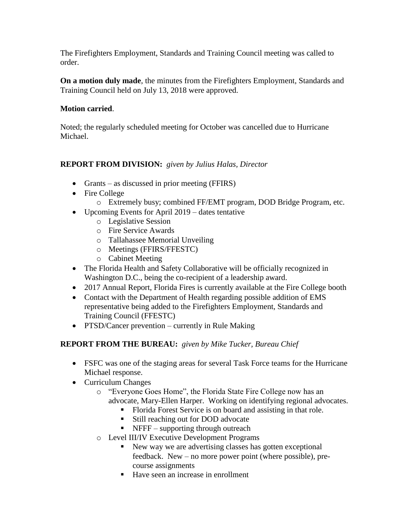The Firefighters Employment, Standards and Training Council meeting was called to order.

**On a motion duly made**, the minutes from the Firefighters Employment, Standards and Training Council held on July 13, 2018 were approved.

### **Motion carried**.

Noted; the regularly scheduled meeting for October was cancelled due to Hurricane Michael.

## **REPORT FROM DIVISION:** *given by Julius Halas, Director*

- Grants as discussed in prior meeting (FFIRS)
- Fire College
	- o Extremely busy; combined FF/EMT program, DOD Bridge Program, etc.
- Upcoming Events for April 2019 dates tentative
	- o Legislative Session
	- o Fire Service Awards
	- o Tallahassee Memorial Unveiling
	- o Meetings (FFIRS/FFESTC)
	- o Cabinet Meeting
- The Florida Health and Safety Collaborative will be officially recognized in Washington D.C., being the co-recipient of a leadership award.
- 2017 Annual Report, Florida Fires is currently available at the Fire College booth
- Contact with the Department of Health regarding possible addition of EMS representative being added to the Firefighters Employment, Standards and Training Council (FFESTC)
- PTSD/Cancer prevention currently in Rule Making

#### **REPORT FROM THE BUREAU:** *given by Mike Tucker, Bureau Chief*

- FSFC was one of the staging areas for several Task Force teams for the Hurricane Michael response.
- Curriculum Changes
	- o "Everyone Goes Home", the Florida State Fire College now has an advocate, Mary-Ellen Harper. Working on identifying regional advocates.
		- Florida Forest Service is on board and assisting in that role.
		- Still reaching out for DOD advocate
		- $\blacksquare$  NFFF supporting through outreach
	- o Level III/IV Executive Development Programs
		- New way we are advertising classes has gotten exceptional feedback. New – no more power point (where possible), precourse assignments
		- Have seen an increase in enrollment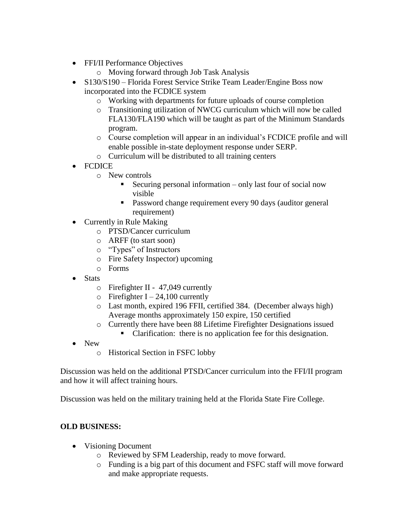- FFI/II Performance Objectives
	- o Moving forward through Job Task Analysis
- S130/S190 Florida Forest Service Strike Team Leader/Engine Boss now incorporated into the FCDICE system
	- o Working with departments for future uploads of course completion
	- o Transitioning utilization of NWCG curriculum which will now be called FLA130/FLA190 which will be taught as part of the Minimum Standards program.
	- o Course completion will appear in an individual's FCDICE profile and will enable possible in-state deployment response under SERP.
	- o Curriculum will be distributed to all training centers
- FCDICE
	- o New controls
		- Securing personal information only last four of social now visible
		- Password change requirement every 90 days (auditor general requirement)
- Currently in Rule Making
	- o PTSD/Cancer curriculum
	- o ARFF (to start soon)
	- o "Types" of Instructors
	- o Fire Safety Inspector) upcoming
	- o Forms
- Stats
	- o Firefighter II 47,049 currently
	- $\circ$  Firefighter I 24,100 currently
	- o Last month, expired 196 FFII, certified 384. (December always high) Average months approximately 150 expire, 150 certified
	- o Currently there have been 88 Lifetime Firefighter Designations issued
		- Clarification: there is no application fee for this designation.
- New
	- o Historical Section in FSFC lobby

Discussion was held on the additional PTSD/Cancer curriculum into the FFI/II program and how it will affect training hours.

Discussion was held on the military training held at the Florida State Fire College.

#### **OLD BUSINESS:**

- Visioning Document
	- o Reviewed by SFM Leadership, ready to move forward.
	- o Funding is a big part of this document and FSFC staff will move forward and make appropriate requests.